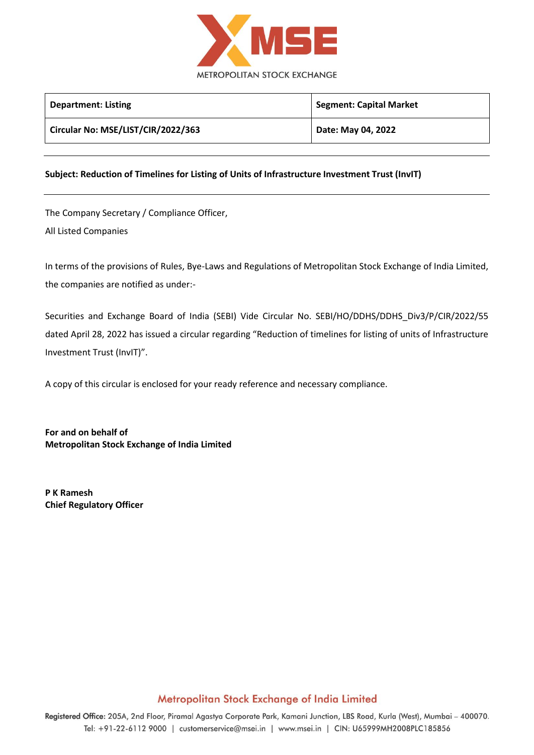

| <b>Department: Listing</b>         | <b>Segment: Capital Market</b> |
|------------------------------------|--------------------------------|
| Circular No: MSE/LIST/CIR/2022/363 | Date: May 04, 2022             |

## **Subject: Reduction of Timelines for Listing of Units of Infrastructure Investment Trust (InvIT)**

The Company Secretary / Compliance Officer, All Listed Companies

In terms of the provisions of Rules, Bye-Laws and Regulations of Metropolitan Stock Exchange of India Limited, the companies are notified as under:-

Securities and Exchange Board of India (SEBI) Vide Circular No. SEBI/HO/DDHS/DDHS\_Div3/P/CIR/2022/55 dated April 28, 2022 has issued a circular regarding "Reduction of timelines for listing of units of Infrastructure Investment Trust (InvIT)".

A copy of this circular is enclosed for your ready reference and necessary compliance.

**For and on behalf of Metropolitan Stock Exchange of India Limited**

**P K Ramesh Chief Regulatory Officer**

## Metropolitan Stock Exchange of India Limited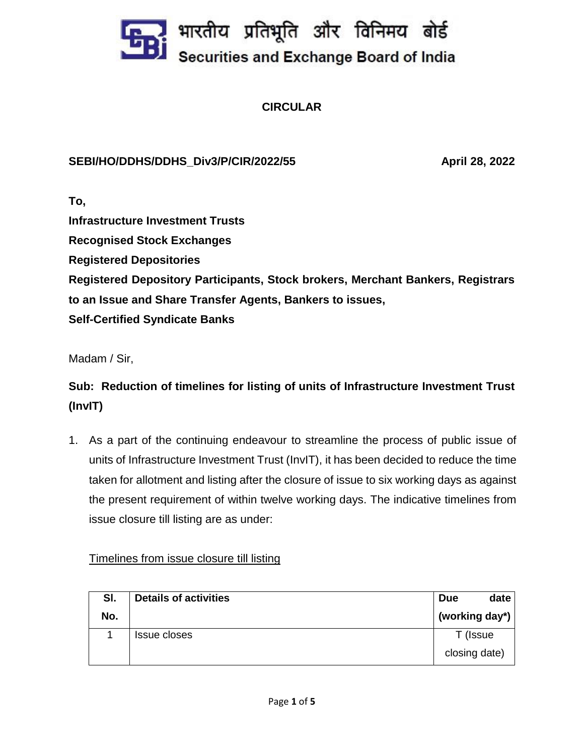

**CIRCULAR**

## **SEBI/HO/DDHS/DDHS\_Div3/P/CIR/2022/55 April 28, 2022**

**To, Infrastructure Investment Trusts Recognised Stock Exchanges Registered Depositories Registered Depository Participants, Stock brokers, Merchant Bankers, Registrars to an Issue and Share Transfer Agents, Bankers to issues, Self-Certified Syndicate Banks**

Madam / Sir,

**Sub: Reduction of timelines for listing of units of Infrastructure Investment Trust (InvIT)**

1. As a part of the continuing endeavour to streamline the process of public issue of units of Infrastructure Investment Trust (InvIT), it has been decided to reduce the time taken for allotment and listing after the closure of issue to six working days as against the present requirement of within twelve working days. The indicative timelines from issue closure till listing are as under:

Timelines from issue closure till listing

| SI. | <b>Details of activities</b> | <b>Due</b>     | date |
|-----|------------------------------|----------------|------|
| No. |                              | (working day*) |      |
|     | Issue closes                 | T (Issue       |      |
|     |                              | closing date)  |      |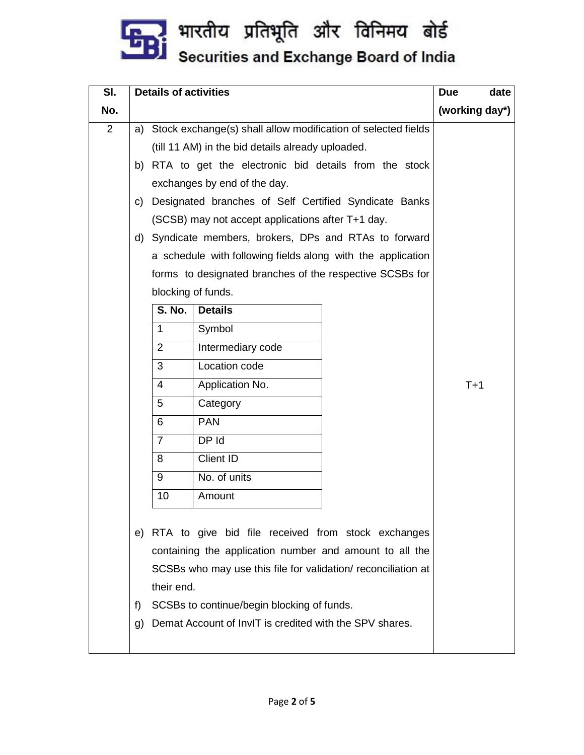

| SI.            |                                                                                                                                                                                                                                                                                                                                                                                                                                                                                                                                                          | <b>Details of activities</b> | <b>Due</b><br>date                                                                                                                                                                                                              |                |
|----------------|----------------------------------------------------------------------------------------------------------------------------------------------------------------------------------------------------------------------------------------------------------------------------------------------------------------------------------------------------------------------------------------------------------------------------------------------------------------------------------------------------------------------------------------------------------|------------------------------|---------------------------------------------------------------------------------------------------------------------------------------------------------------------------------------------------------------------------------|----------------|
| No.            |                                                                                                                                                                                                                                                                                                                                                                                                                                                                                                                                                          |                              |                                                                                                                                                                                                                                 | (working day*) |
| $\overline{2}$ | Stock exchange(s) shall allow modification of selected fields<br>a)<br>(till 11 AM) in the bid details already uploaded.<br>RTA to get the electronic bid details from the stock<br>b)<br>exchanges by end of the day.<br>Designated branches of Self Certified Syndicate Banks<br>C)<br>(SCSB) may not accept applications after T+1 day.<br>Syndicate members, brokers, DPs and RTAs to forward<br>d)<br>a schedule with following fields along with the application<br>forms to designated branches of the respective SCSBs for<br>blocking of funds. |                              |                                                                                                                                                                                                                                 |                |
|                |                                                                                                                                                                                                                                                                                                                                                                                                                                                                                                                                                          | <b>S. No.</b>                | <b>Details</b>                                                                                                                                                                                                                  |                |
|                |                                                                                                                                                                                                                                                                                                                                                                                                                                                                                                                                                          | $\mathbf{1}$                 | Symbol                                                                                                                                                                                                                          |                |
|                |                                                                                                                                                                                                                                                                                                                                                                                                                                                                                                                                                          | $\overline{2}$               | Intermediary code                                                                                                                                                                                                               |                |
|                |                                                                                                                                                                                                                                                                                                                                                                                                                                                                                                                                                          | 3                            | Location code                                                                                                                                                                                                                   |                |
|                |                                                                                                                                                                                                                                                                                                                                                                                                                                                                                                                                                          | 4                            | Application No.                                                                                                                                                                                                                 | $T+1$          |
|                |                                                                                                                                                                                                                                                                                                                                                                                                                                                                                                                                                          | 5                            | Category                                                                                                                                                                                                                        |                |
|                |                                                                                                                                                                                                                                                                                                                                                                                                                                                                                                                                                          | 6                            | <b>PAN</b>                                                                                                                                                                                                                      |                |
|                |                                                                                                                                                                                                                                                                                                                                                                                                                                                                                                                                                          | $\overline{7}$               | DP Id                                                                                                                                                                                                                           |                |
|                |                                                                                                                                                                                                                                                                                                                                                                                                                                                                                                                                                          | 8                            | <b>Client ID</b>                                                                                                                                                                                                                |                |
|                |                                                                                                                                                                                                                                                                                                                                                                                                                                                                                                                                                          | 9                            | No. of units                                                                                                                                                                                                                    |                |
|                |                                                                                                                                                                                                                                                                                                                                                                                                                                                                                                                                                          | 10                           | Amount                                                                                                                                                                                                                          |                |
|                | f)                                                                                                                                                                                                                                                                                                                                                                                                                                                                                                                                                       | their end.                   | e) RTA to give bid file received from stock exchanges<br>containing the application number and amount to all the<br>SCSBs who may use this file for validation/ reconciliation at<br>SCSBs to continue/begin blocking of funds. |                |
|                | g)                                                                                                                                                                                                                                                                                                                                                                                                                                                                                                                                                       |                              | Demat Account of InvIT is credited with the SPV shares.                                                                                                                                                                         |                |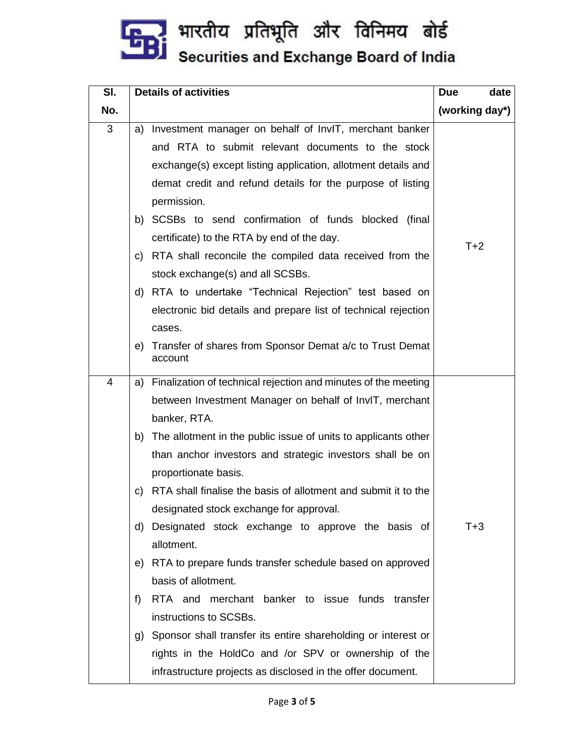

| SI. | <b>Details of activities</b> |                                                                           | date<br><b>Due</b> |
|-----|------------------------------|---------------------------------------------------------------------------|--------------------|
| No. |                              |                                                                           | (working day*)     |
| 3   | a)                           | Investment manager on behalf of InvIT, merchant banker                    |                    |
|     |                              | and RTA to submit relevant documents to the stock                         |                    |
|     |                              | exchange(s) except listing application, allotment details and             |                    |
|     |                              | demat credit and refund details for the purpose of listing<br>permission. |                    |
|     |                              | b) SCSBs to send confirmation of funds blocked (final                     |                    |
|     |                              | certificate) to the RTA by end of the day.                                |                    |
|     |                              | c) RTA shall reconcile the compiled data received from the                | $T+2$              |
|     |                              | stock exchange(s) and all SCSBs.                                          |                    |
|     |                              | d) RTA to undertake "Technical Rejection" test based on                   |                    |
|     |                              | electronic bid details and prepare list of technical rejection            |                    |
|     |                              | cases.                                                                    |                    |
|     | e)                           | Transfer of shares from Sponsor Demat a/c to Trust Demat<br>account       |                    |
| 4   | a)                           | Finalization of technical rejection and minutes of the meeting            |                    |
|     |                              | between Investment Manager on behalf of InvIT, merchant                   |                    |
|     |                              | banker, RTA.                                                              |                    |
|     |                              | b) The allotment in the public issue of units to applicants other         |                    |
|     |                              | than anchor investors and strategic investors shall be on                 |                    |
|     |                              | proportionate basis.                                                      |                    |
|     | C)                           | RTA shall finalise the basis of allotment and submit it to the            |                    |
|     |                              | designated stock exchange for approval.                                   |                    |
|     |                              | d) Designated stock exchange to approve the basis of                      | $T+3$              |
|     |                              | allotment.                                                                |                    |
|     |                              | e) RTA to prepare funds transfer schedule based on approved               |                    |
|     |                              | basis of allotment.                                                       |                    |
|     | f)                           | RTA and merchant banker to issue funds transfer                           |                    |
|     |                              | instructions to SCSBs.                                                    |                    |
|     | g)                           | Sponsor shall transfer its entire shareholding or interest or             |                    |
|     |                              | rights in the HoldCo and /or SPV or ownership of the                      |                    |
|     |                              | infrastructure projects as disclosed in the offer document.               |                    |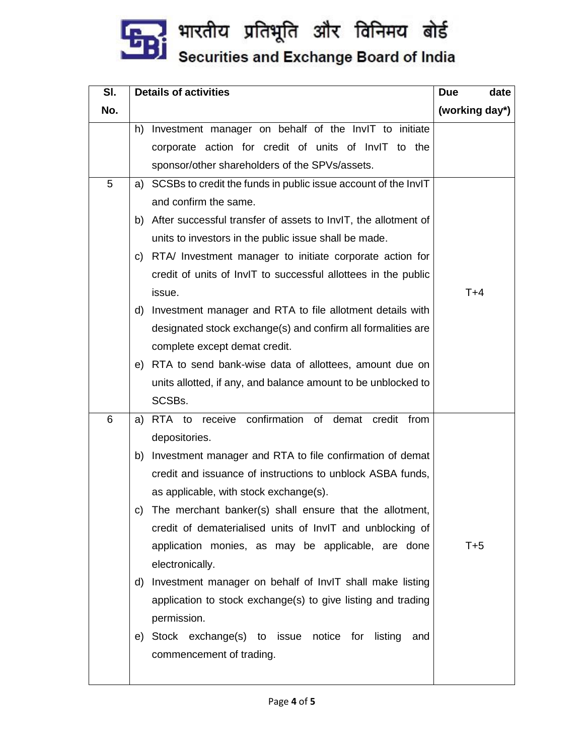

| SI. | <b>Details of activities</b>                                          | <b>Due</b><br>date |
|-----|-----------------------------------------------------------------------|--------------------|
| No. |                                                                       | (working day*)     |
|     | Investment manager on behalf of the InvIT to initiate<br>h)           |                    |
|     | corporate action for credit of units of InvIT to the                  |                    |
|     | sponsor/other shareholders of the SPVs/assets.                        |                    |
| 5   | SCSBs to credit the funds in public issue account of the InvIT<br>a)  |                    |
|     | and confirm the same.                                                 |                    |
|     | b) After successful transfer of assets to InvIT, the allotment of     |                    |
|     | units to investors in the public issue shall be made.                 |                    |
|     | RTA/ Investment manager to initiate corporate action for<br>C)        |                    |
|     | credit of units of InvIT to successful allottees in the public        |                    |
|     | issue.                                                                | $T+4$              |
|     | d) Investment manager and RTA to file allotment details with          |                    |
|     | designated stock exchange(s) and confirm all formalities are          |                    |
|     | complete except demat credit.                                         |                    |
|     | e) RTA to send bank-wise data of allottees, amount due on             |                    |
|     | units allotted, if any, and balance amount to be unblocked to         |                    |
|     | SCSBs.                                                                |                    |
| 6   | RTA to receive confirmation of demat credit from<br>a)                |                    |
|     | depositories.                                                         |                    |
|     | b) Investment manager and RTA to file confirmation of demat           |                    |
|     | credit and issuance of instructions to unblock ASBA funds,            |                    |
|     | as applicable, with stock exchange(s).                                |                    |
|     | c) The merchant banker(s) shall ensure that the allotment,            |                    |
|     | credit of dematerialised units of InvIT and unblocking of             | $T+5$              |
|     | application monies, as may be applicable, are done<br>electronically. |                    |
|     | d) Investment manager on behalf of InvIT shall make listing           |                    |
|     | application to stock exchange(s) to give listing and trading          |                    |
|     | permission.                                                           |                    |
|     | e) Stock exchange(s) to issue notice for listing<br>and               |                    |
|     | commencement of trading.                                              |                    |
|     |                                                                       |                    |